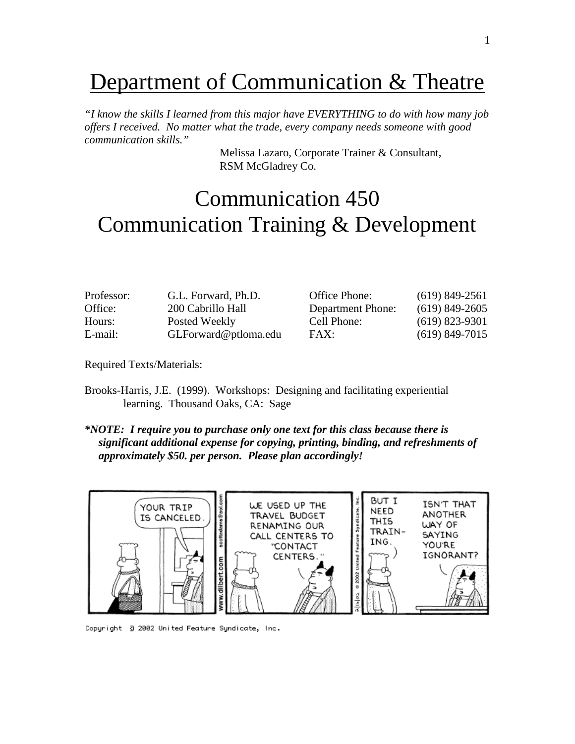### Department of Communication & Theatre

*"I know the skills I learned from this major have EVERYTHING to do with how many job offers I received. No matter what the trade, every company needs someone with good communication skills."*

> Melissa Lazaro, Corporate Trainer & Consultant, RSM McGladrey Co.

### Communication 450 Communication Training & Development

| $(619)$ 849-2561 |
|------------------|
| $(619)$ 849-2605 |
| $(619)$ 823-9301 |
| $(619)$ 849-7015 |
|                  |

Required Texts/Materials:

- Brooks-Harris, J.E. (1999). Workshops: Designing and facilitating experiential learning. Thousand Oaks, CA: Sage
- *\*NOTE: I require you to purchase only one text for this class because there is significant additional expense for copying, printing, binding, and refreshments of approximately \$50. per person. Please plan accordingly!*



Copyright 3 2002 United Feature Syndicate, Inc.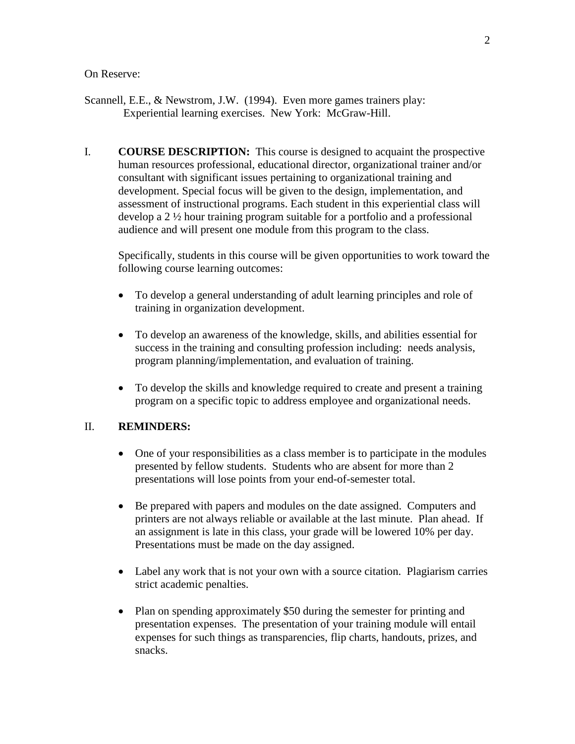#### On Reserve:

- Scannell, E.E., & Newstrom, J.W. (1994). Even more games trainers play: Experiential learning exercises. New York: McGraw-Hill.
- I. **COURSE DESCRIPTION:** This course is designed to acquaint the prospective human resources professional, educational director, organizational trainer and/or consultant with significant issues pertaining to organizational training and development. Special focus will be given to the design, implementation, and assessment of instructional programs. Each student in this experiential class will develop a 2 ½ hour training program suitable for a portfolio and a professional audience and will present one module from this program to the class.

Specifically, students in this course will be given opportunities to work toward the following course learning outcomes:

- To develop a general understanding of adult learning principles and role of training in organization development.
- To develop an awareness of the knowledge, skills, and abilities essential for success in the training and consulting profession including: needs analysis, program planning/implementation, and evaluation of training.
- To develop the skills and knowledge required to create and present a training program on a specific topic to address employee and organizational needs.

#### II. **REMINDERS:**

- One of your responsibilities as a class member is to participate in the modules presented by fellow students. Students who are absent for more than 2 presentations will lose points from your end-of-semester total.
- Be prepared with papers and modules on the date assigned. Computers and printers are not always reliable or available at the last minute. Plan ahead. If an assignment is late in this class, your grade will be lowered 10% per day. Presentations must be made on the day assigned.
- Label any work that is not your own with a source citation. Plagiarism carries strict academic penalties.
- Plan on spending approximately \$50 during the semester for printing and presentation expenses. The presentation of your training module will entail expenses for such things as transparencies, flip charts, handouts, prizes, and snacks.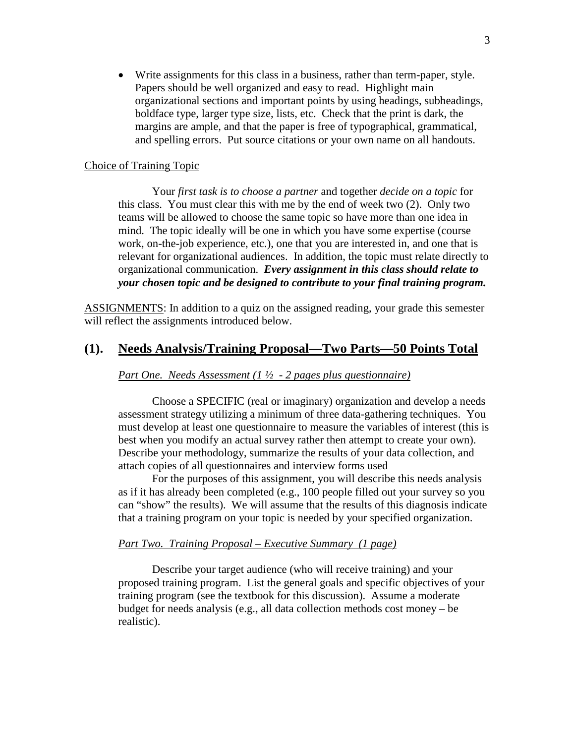• Write assignments for this class in a business, rather than term-paper, style. Papers should be well organized and easy to read. Highlight main organizational sections and important points by using headings, subheadings, boldface type, larger type size, lists, etc. Check that the print is dark, the margins are ample, and that the paper is free of typographical, grammatical, and spelling errors. Put source citations or your own name on all handouts.

#### Choice of Training Topic

Your *first task is to choose a partner* and together *decide on a topic* for this class. You must clear this with me by the end of week two (2). Only two teams will be allowed to choose the same topic so have more than one idea in mind. The topic ideally will be one in which you have some expertise (course work, on-the-job experience, etc.), one that you are interested in, and one that is relevant for organizational audiences. In addition, the topic must relate directly to organizational communication. *Every assignment in this class should relate to your chosen topic and be designed to contribute to your final training program.*

ASSIGNMENTS: In addition to a quiz on the assigned reading, your grade this semester will reflect the assignments introduced below.

#### **(1). Needs Analysis/Training Proposal—Two Parts—50 Points Total**

#### *Part One. Needs Assessment (1 ½ - 2 pages plus questionnaire)*

Choose a SPECIFIC (real or imaginary) organization and develop a needs assessment strategy utilizing a minimum of three data-gathering techniques. You must develop at least one questionnaire to measure the variables of interest (this is best when you modify an actual survey rather then attempt to create your own). Describe your methodology, summarize the results of your data collection, and attach copies of all questionnaires and interview forms used

For the purposes of this assignment, you will describe this needs analysis as if it has already been completed (e.g., 100 people filled out your survey so you can "show" the results). We will assume that the results of this diagnosis indicate that a training program on your topic is needed by your specified organization.

#### *Part Two. Training Proposal – Executive Summary (1 page)*

Describe your target audience (who will receive training) and your proposed training program. List the general goals and specific objectives of your training program (see the textbook for this discussion). Assume a moderate budget for needs analysis (e.g., all data collection methods cost money – be realistic).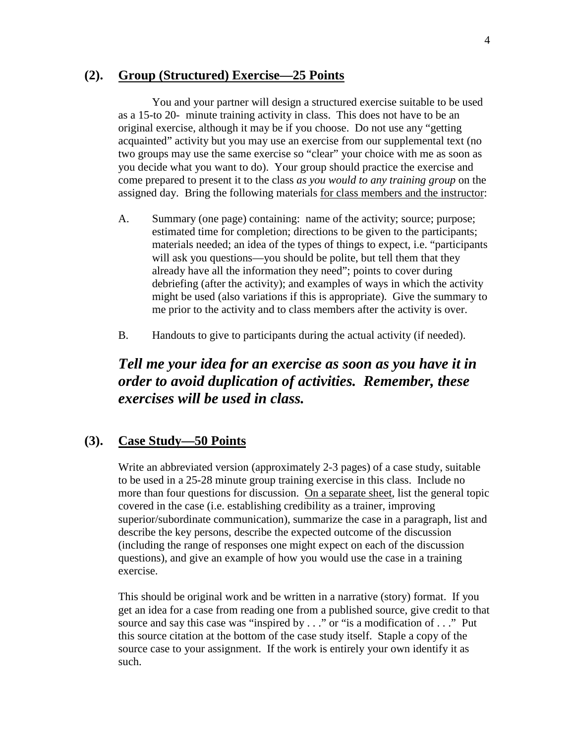#### **(2). Group (Structured) Exercise—25 Points**

You and your partner will design a structured exercise suitable to be used as a 15-to 20- minute training activity in class. This does not have to be an original exercise, although it may be if you choose. Do not use any "getting acquainted" activity but you may use an exercise from our supplemental text (no two groups may use the same exercise so "clear" your choice with me as soon as you decide what you want to do). Your group should practice the exercise and come prepared to present it to the class *as you would to any training group* on the assigned day. Bring the following materials for class members and the instructor:

- A. Summary (one page) containing: name of the activity; source; purpose; estimated time for completion; directions to be given to the participants; materials needed; an idea of the types of things to expect, i.e. "participants will ask you questions—you should be polite, but tell them that they already have all the information they need"; points to cover during debriefing (after the activity); and examples of ways in which the activity might be used (also variations if this is appropriate). Give the summary to me prior to the activity and to class members after the activity is over.
- B. Handouts to give to participants during the actual activity (if needed).

#### *Tell me your idea for an exercise as soon as you have it in order to avoid duplication of activities. Remember, these exercises will be used in class.*

#### **(3). Case Study—50 Points**

Write an abbreviated version (approximately 2-3 pages) of a case study, suitable to be used in a 25-28 minute group training exercise in this class. Include no more than four questions for discussion. On a separate sheet, list the general topic covered in the case (i.e. establishing credibility as a trainer, improving superior/subordinate communication), summarize the case in a paragraph, list and describe the key persons, describe the expected outcome of the discussion (including the range of responses one might expect on each of the discussion questions), and give an example of how you would use the case in a training exercise.

This should be original work and be written in a narrative (story) format. If you get an idea for a case from reading one from a published source, give credit to that source and say this case was "inspired by . . ." or "is a modification of . . ." Put this source citation at the bottom of the case study itself. Staple a copy of the source case to your assignment. If the work is entirely your own identify it as such.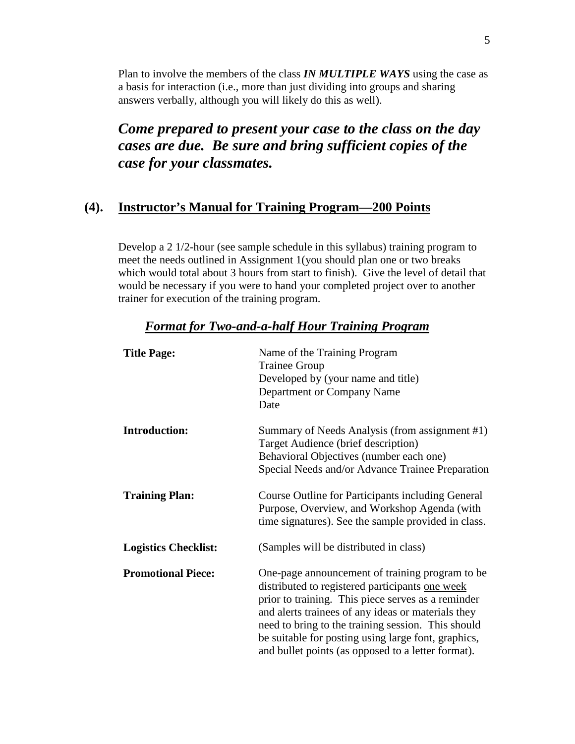Plan to involve the members of the class *IN MULTIPLE WAYS* using the case as a basis for interaction (i.e., more than just dividing into groups and sharing answers verbally, although you will likely do this as well).

*Come prepared to present your case to the class on the day cases are due. Be sure and bring sufficient copies of the case for your classmates.* 

#### **(4). Instructor's Manual for Training Program—200 Points**

Develop a 2 1/2-hour (see sample schedule in this syllabus) training program to meet the needs outlined in Assignment 1(you should plan one or two breaks which would total about 3 hours from start to finish). Give the level of detail that would be necessary if you were to hand your completed project over to another trainer for execution of the training program.

| <b>Title Page:</b>          | Name of the Training Program<br><b>Trainee Group</b><br>Developed by (your name and title)<br>Department or Company Name<br>Date                                                                                                                                                                                                                                                  |
|-----------------------------|-----------------------------------------------------------------------------------------------------------------------------------------------------------------------------------------------------------------------------------------------------------------------------------------------------------------------------------------------------------------------------------|
| <b>Introduction:</b>        | Summary of Needs Analysis (from assignment #1)<br>Target Audience (brief description)<br>Behavioral Objectives (number each one)<br>Special Needs and/or Advance Trainee Preparation                                                                                                                                                                                              |
| <b>Training Plan:</b>       | Course Outline for Participants including General<br>Purpose, Overview, and Workshop Agenda (with<br>time signatures). See the sample provided in class.                                                                                                                                                                                                                          |
| <b>Logistics Checklist:</b> | (Samples will be distributed in class)                                                                                                                                                                                                                                                                                                                                            |
| <b>Promotional Piece:</b>   | One-page announcement of training program to be<br>distributed to registered participants one week<br>prior to training. This piece serves as a reminder<br>and alerts trainees of any ideas or materials they<br>need to bring to the training session. This should<br>be suitable for posting using large font, graphics,<br>and bullet points (as opposed to a letter format). |

#### *Format for Two-and-a-half Hour Training Program*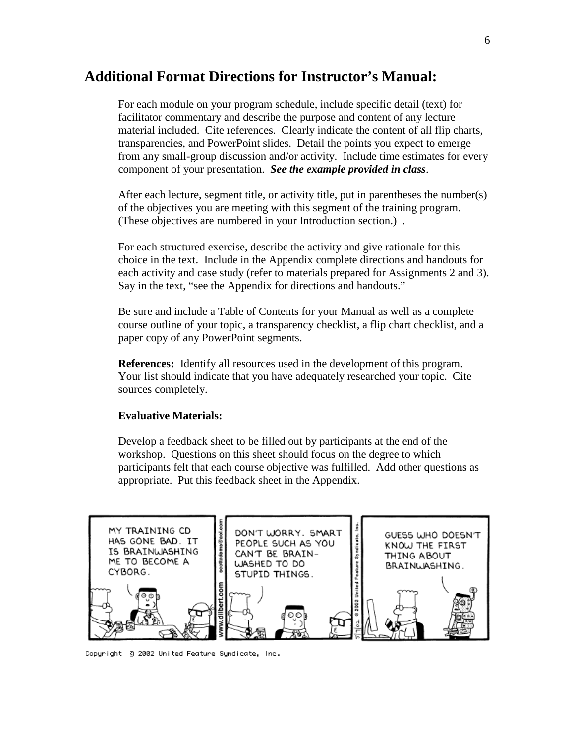#### **Additional Format Directions for Instructor's Manual:**

For each module on your program schedule, include specific detail (text) for facilitator commentary and describe the purpose and content of any lecture material included. Cite references. Clearly indicate the content of all flip charts, transparencies, and PowerPoint slides. Detail the points you expect to emerge from any small-group discussion and/or activity. Include time estimates for every component of your presentation. *See the example provided in class*.

After each lecture, segment title, or activity title, put in parentheses the number(s) of the objectives you are meeting with this segment of the training program. (These objectives are numbered in your Introduction section.) .

For each structured exercise, describe the activity and give rationale for this choice in the text. Include in the Appendix complete directions and handouts for each activity and case study (refer to materials prepared for Assignments 2 and 3). Say in the text, "see the Appendix for directions and handouts."

Be sure and include a Table of Contents for your Manual as well as a complete course outline of your topic, a transparency checklist, a flip chart checklist, and a paper copy of any PowerPoint segments.

**References:** Identify all resources used in the development of this program. Your list should indicate that you have adequately researched your topic. Cite sources completely.

#### **Evaluative Materials:**

Develop a feedback sheet to be filled out by participants at the end of the workshop. Questions on this sheet should focus on the degree to which participants felt that each course objective was fulfilled. Add other questions as appropriate. Put this feedback sheet in the Appendix.



Copyright 3 2002 United Feature Syndicate, Inc.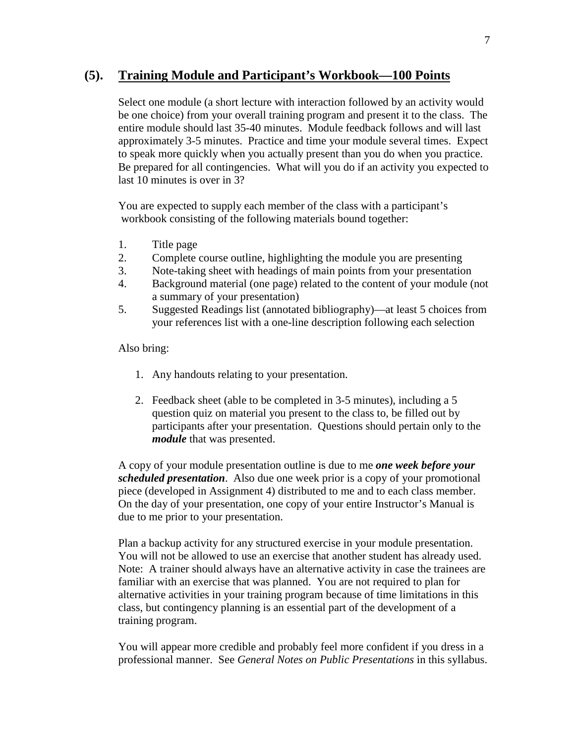#### **(5). Training Module and Participant's Workbook—100 Points**

Select one module (a short lecture with interaction followed by an activity would be one choice) from your overall training program and present it to the class. The entire module should last 35-40 minutes. Module feedback follows and will last approximately 3-5 minutes. Practice and time your module several times. Expect to speak more quickly when you actually present than you do when you practice. Be prepared for all contingencies. What will you do if an activity you expected to last 10 minutes is over in 3?

You are expected to supply each member of the class with a participant's workbook consisting of the following materials bound together:

- 1. Title page
- 2. Complete course outline, highlighting the module you are presenting
- 3. Note-taking sheet with headings of main points from your presentation
- 4. Background material (one page) related to the content of your module (not a summary of your presentation)
- 5. Suggested Readings list (annotated bibliography)—at least 5 choices from your references list with a one-line description following each selection

Also bring:

- 1. Any handouts relating to your presentation.
- 2. Feedback sheet (able to be completed in 3-5 minutes), including a 5 question quiz on material you present to the class to, be filled out by participants after your presentation. Questions should pertain only to the *module* that was presented.

A copy of your module presentation outline is due to me *one week before your scheduled presentation*. Also due one week prior is a copy of your promotional piece (developed in Assignment 4) distributed to me and to each class member. On the day of your presentation, one copy of your entire Instructor's Manual is due to me prior to your presentation.

Plan a backup activity for any structured exercise in your module presentation. You will not be allowed to use an exercise that another student has already used. Note: A trainer should always have an alternative activity in case the trainees are familiar with an exercise that was planned. You are not required to plan for alternative activities in your training program because of time limitations in this class, but contingency planning is an essential part of the development of a training program.

You will appear more credible and probably feel more confident if you dress in a professional manner. See *General Notes on Public Presentations* in this syllabus.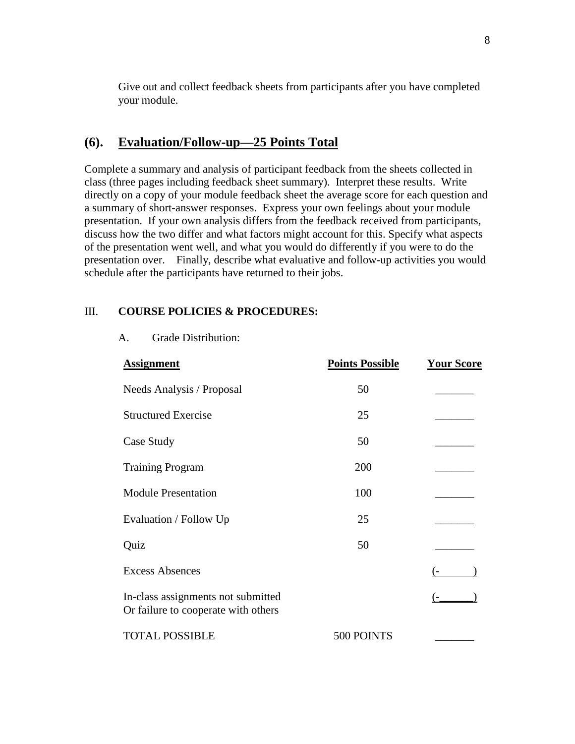Give out and collect feedback sheets from participants after you have completed your module.

#### **(6). Evaluation/Follow-up—25 Points Total**

Complete a summary and analysis of participant feedback from the sheets collected in class (three pages including feedback sheet summary). Interpret these results. Write directly on a copy of your module feedback sheet the average score for each question and a summary of short-answer responses. Express your own feelings about your module presentation. If your own analysis differs from the feedback received from participants, discuss how the two differ and what factors might account for this. Specify what aspects of the presentation went well, and what you would do differently if you were to do the presentation over. Finally, describe what evaluative and follow-up activities you would schedule after the participants have returned to their jobs.

#### III. **COURSE POLICIES & PROCEDURES:**

A. Grade Distribution:

| <b>Assignment</b>                                                         | <b>Points Possible</b> | <b>Your Score</b> |
|---------------------------------------------------------------------------|------------------------|-------------------|
| Needs Analysis / Proposal                                                 | 50                     |                   |
| <b>Structured Exercise</b>                                                | 25                     |                   |
| Case Study                                                                | 50                     |                   |
| <b>Training Program</b>                                                   | 200                    |                   |
| <b>Module Presentation</b>                                                | 100                    |                   |
| Evaluation / Follow Up                                                    | 25                     |                   |
| Quiz                                                                      | 50                     |                   |
| <b>Excess Absences</b>                                                    |                        |                   |
| In-class assignments not submitted<br>Or failure to cooperate with others |                        |                   |
| <b>TOTAL POSSIBLE</b>                                                     | 500 POINTS             |                   |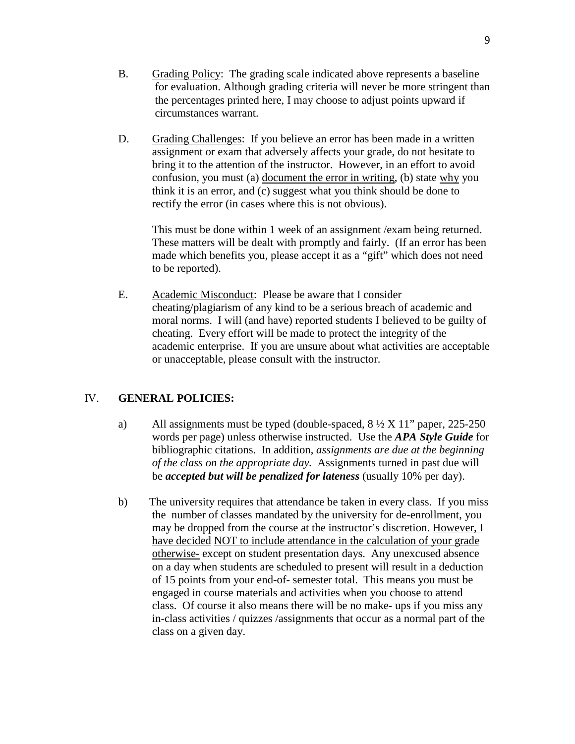- B. Grading Policy: The grading scale indicated above represents a baseline for evaluation. Although grading criteria will never be more stringent than the percentages printed here, I may choose to adjust points upward if circumstances warrant.
- D. Grading Challenges: If you believe an error has been made in a written assignment or exam that adversely affects your grade, do not hesitate to bring it to the attention of the instructor. However, in an effort to avoid confusion, you must (a) document the error in writing, (b) state why you think it is an error, and (c) suggest what you think should be done to rectify the error (in cases where this is not obvious).

This must be done within 1 week of an assignment /exam being returned. These matters will be dealt with promptly and fairly. (If an error has been made which benefits you, please accept it as a "gift" which does not need to be reported).

E. Academic Misconduct: Please be aware that I consider cheating/plagiarism of any kind to be a serious breach of academic and moral norms. I will (and have) reported students I believed to be guilty of cheating. Every effort will be made to protect the integrity of the academic enterprise. If you are unsure about what activities are acceptable or unacceptable, please consult with the instructor.

#### IV. **GENERAL POLICIES:**

- a) All assignments must be typed (double-spaced,  $8\frac{1}{2}$  X 11" paper, 225-250 words per page) unless otherwise instructed. Use the *APA Style Guide* for bibliographic citations. In addition, *assignments are due at the beginning of the class on the appropriate day.* Assignments turned in past due will be *accepted but will be penalized for lateness* (usually 10% per day).
- b) The university requires that attendance be taken in every class. If you miss the number of classes mandated by the university for de-enrollment, you may be dropped from the course at the instructor's discretion. However, I have decided NOT to include attendance in the calculation of your grade otherwise- except on student presentation days. Any unexcused absence on a day when students are scheduled to present will result in a deduction of 15 points from your end-of- semester total. This means you must be engaged in course materials and activities when you choose to attend class. Of course it also means there will be no make- ups if you miss any in-class activities / quizzes /assignments that occur as a normal part of the class on a given day.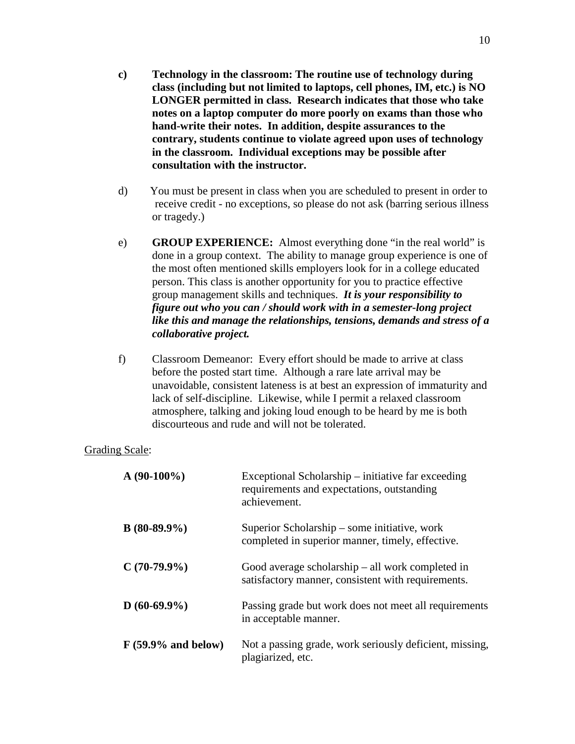- **c) Technology in the classroom: The routine use of technology during class (including but not limited to laptops, cell phones, IM, etc.) is NO LONGER permitted in class. Research indicates that those who take notes on a laptop computer do more poorly on exams than those who hand-write their notes. In addition, despite assurances to the contrary, students continue to violate agreed upon uses of technology in the classroom. Individual exceptions may be possible after consultation with the instructor.**
- d) You must be present in class when you are scheduled to present in order to receive credit - no exceptions, so please do not ask (barring serious illness or tragedy.)
- e) **GROUP EXPERIENCE:** Almost everything done "in the real world" is done in a group context. The ability to manage group experience is one of the most often mentioned skills employers look for in a college educated person. This class is another opportunity for you to practice effective group management skills and techniques. *It is your responsibility to figure out who you can / should work with in a semester-long project like this and manage the relationships, tensions, demands and stress of a collaborative project.*
- f) Classroom Demeanor: Every effort should be made to arrive at class before the posted start time. Although a rare late arrival may be unavoidable, consistent lateness is at best an expression of immaturity and lack of self-discipline. Likewise, while I permit a relaxed classroom atmosphere, talking and joking loud enough to be heard by me is both discourteous and rude and will not be tolerated.

#### Grading Scale:

| $A(90-100\%)$        | Exceptional Scholarship – initiative far exceeding<br>requirements and expectations, outstanding<br>achievement. |
|----------------------|------------------------------------------------------------------------------------------------------------------|
| $B(80-89.9\%)$       | Superior Scholarship – some initiative, work<br>completed in superior manner, timely, effective.                 |
| $C(70-79.9\%)$       | Good average scholarship $-$ all work completed in<br>satisfactory manner, consistent with requirements.         |
| $D(60-69.9\%)$       | Passing grade but work does not meet all requirements<br>in acceptable manner.                                   |
| $F(59.9%$ and below) | Not a passing grade, work seriously deficient, missing,<br>plagiarized, etc.                                     |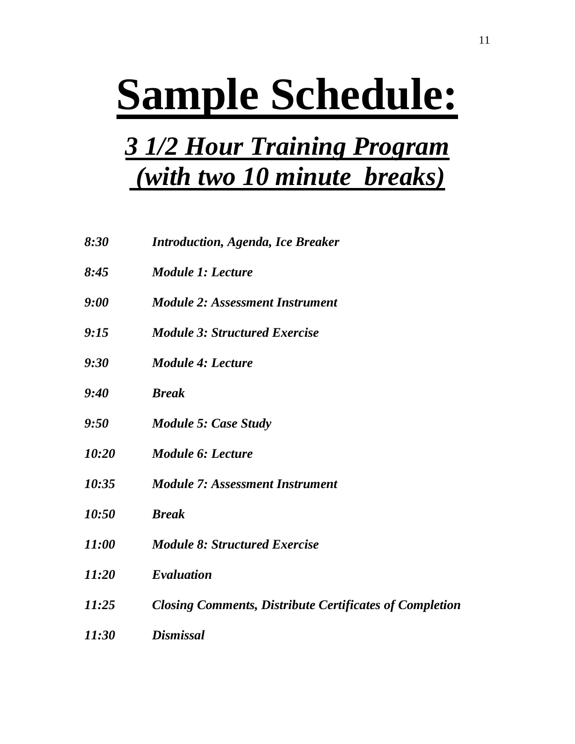# **Sample Schedule:**

## *3 1/2 Hour Training Program (with two 10 minute breaks)*

| 8:30         | <b>Introduction, Agenda, Ice Breaker</b>                       |
|--------------|----------------------------------------------------------------|
| 8:45         | <b>Module 1: Lecture</b>                                       |
| 9:00         | <b>Module 2: Assessment Instrument</b>                         |
| 9:15         | <b>Module 3: Structured Exercise</b>                           |
| 9:30         | <b>Module 4: Lecture</b>                                       |
| 9:40         | <b>Break</b>                                                   |
| 9:50         | <b>Module 5: Case Study</b>                                    |
| 10:20        | Module 6: Lecture                                              |
| 10:35        | <b>Module 7: Assessment Instrument</b>                         |
| 10:50        | <b>Break</b>                                                   |
| <i>11:00</i> | <b>Module 8: Structured Exercise</b>                           |
| 11:20        | Evaluation                                                     |
| 11:25        | <b>Closing Comments, Distribute Certificates of Completion</b> |
| 11:30        | <b>Dismissal</b>                                               |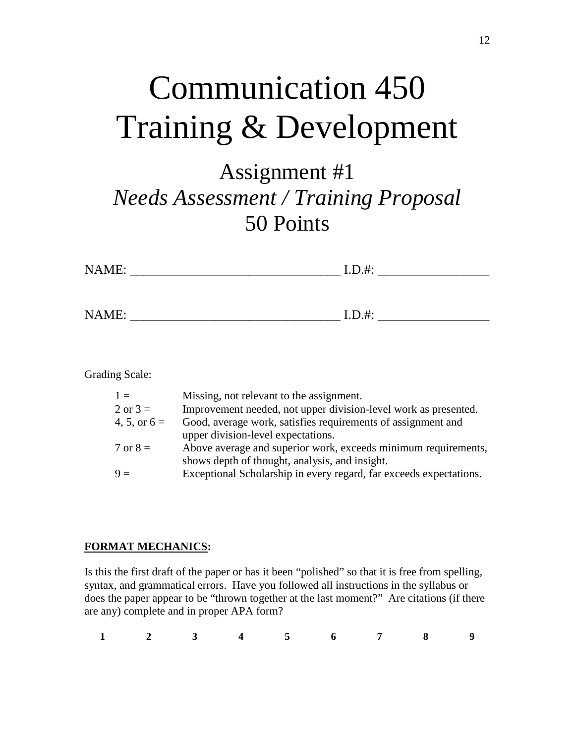## Communication 450 Training & Development

## Assignment #1 *Needs Assessment / Training Proposal* 50 Points

| NAME: | $I.D.$ #: |  |
|-------|-----------|--|
|       |           |  |
| NAME: | $I.D.$ #: |  |

Grading Scale:

| Missing, not relevant to the assignment.                           |
|--------------------------------------------------------------------|
| Improvement needed, not upper division-level work as presented.    |
| Good, average work, satisfies requirements of assignment and       |
| upper division-level expectations.                                 |
| Above average and superior work, exceeds minimum requirements,     |
| shows depth of thought, analysis, and insight.                     |
| Exceptional Scholarship in every regard, far exceeds expectations. |
|                                                                    |

#### **FORMAT MECHANICS:**

Is this the first draft of the paper or has it been "polished" so that it is free from spelling, syntax, and grammatical errors. Have you followed all instructions in the syllabus or does the paper appear to be "thrown together at the last moment?" Are citations (if there are any) complete and in proper APA form?

|  |  |  | $1 \qquad 2 \qquad 3 \qquad 4 \qquad 5 \qquad 6 \qquad 7 \qquad 8 \qquad 9$ |  |
|--|--|--|-----------------------------------------------------------------------------|--|
|  |  |  |                                                                             |  |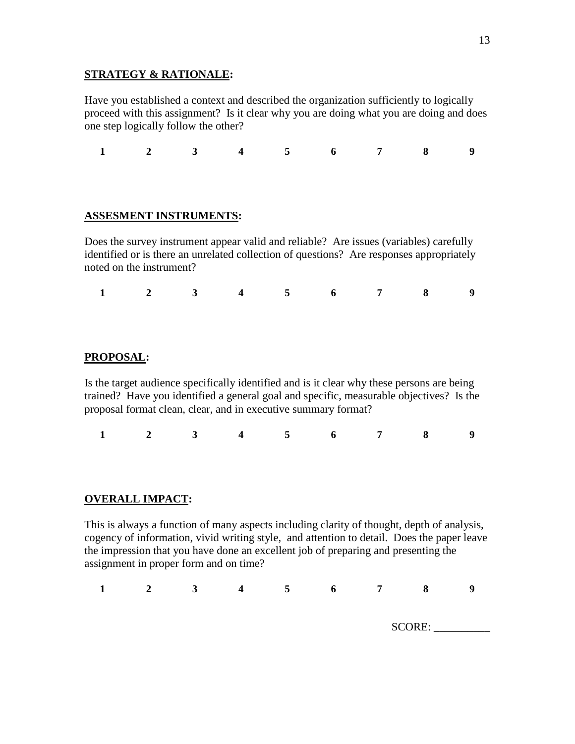#### **STRATEGY & RATIONALE:**

Have you established a context and described the organization sufficiently to logically proceed with this assignment? Is it clear why you are doing what you are doing and does one step logically follow the other?

**1 2 3 4 5 6 7 8 9**

#### **ASSESMENT INSTRUMENTS:**

Does the survey instrument appear valid and reliable? Are issues (variables) carefully identified or is there an unrelated collection of questions? Are responses appropriately noted on the instrument?

**1 2 3 4 5 6 7 8 9**

#### **PROPOSAL:**

Is the target audience specifically identified and is it clear why these persons are being trained? Have you identified a general goal and specific, measurable objectives? Is the proposal format clean, clear, and in executive summary format?

**1 2 3 4 5 6 7 8 9**

#### **OVERALL IMPACT:**

This is always a function of many aspects including clarity of thought, depth of analysis, cogency of information, vivid writing style, and attention to detail. Does the paper leave the impression that you have done an excellent job of preparing and presenting the assignment in proper form and on time?

| $\rightarrow$ |  | 5 <sup>5</sup> | $\bullet$ | 7  | 8              |  |
|---------------|--|----------------|-----------|----|----------------|--|
|               |  |                |           |    |                |  |
|               |  |                |           | ັັ | SORF<br>$\sim$ |  |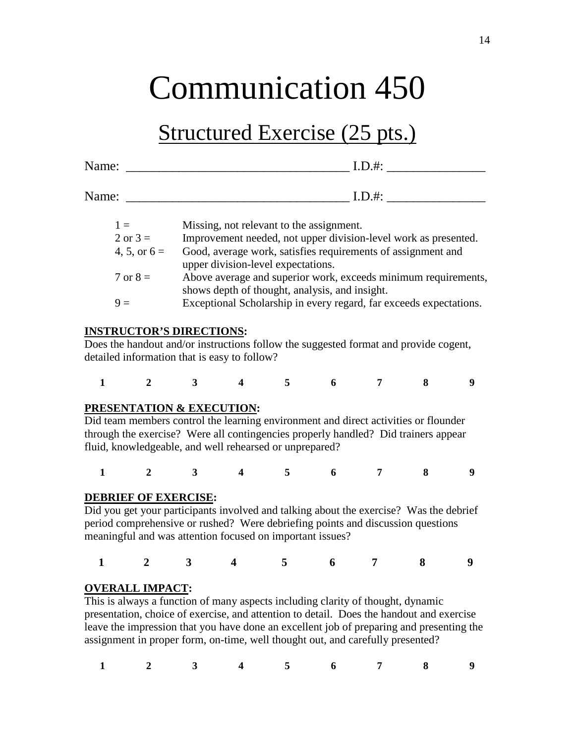## Communication 450

### Structured Exercise (25 pts.)

| Name: | $I.D.$ #: |
|-------|-----------|
|       |           |
| Name: | $I.D.$ #: |

| $1 =$               | Missing, not relevant to the assignment.                           |
|---------------------|--------------------------------------------------------------------|
| $2 \text{ or } 3 =$ | Improvement needed, not upper division-level work as presented.    |
| 4, 5, or $6 =$      | Good, average work, satisfies requirements of assignment and       |
|                     | upper division-level expectations.                                 |
| $7 \text{ or } 8 =$ | Above average and superior work, exceeds minimum requirements,     |
|                     | shows depth of thought, analysis, and insight.                     |
| $9 =$               | Exceptional Scholarship in every regard, far exceeds expectations. |
|                     |                                                                    |

#### **INSTRUCTOR'S DIRECTIONS:**

Does the handout and/or instructions follow the suggested format and provide cogent, detailed information that is easy to follow?

|  |  |  | $1 \qquad 2 \qquad 3 \qquad 4 \qquad 5 \qquad 6 \qquad 7 \qquad 8 \qquad 9$ |  |
|--|--|--|-----------------------------------------------------------------------------|--|
|  |  |  |                                                                             |  |

#### **PRESENTATION & EXECUTION:**

Did team members control the learning environment and direct activities or flounder through the exercise? Were all contingencies properly handled? Did trainers appear fluid, knowledgeable, and well rehearsed or unprepared?

**1 2 3 4 5 6 7 8 9**

#### **DEBRIEF OF EXERCISE:**

Did you get your participants involved and talking about the exercise? Was the debrief period comprehensive or rushed? Were debriefing points and discussion questions meaningful and was attention focused on important issues?

|  |  | $1 \qquad 2 \qquad 3 \qquad 4 \qquad 5 \qquad 6 \qquad 7 \qquad 8 \qquad 9$ |  |  |
|--|--|-----------------------------------------------------------------------------|--|--|
|  |  |                                                                             |  |  |

#### **OVERALL IMPACT:**

This is always a function of many aspects including clarity of thought, dynamic presentation, choice of exercise, and attention to detail. Does the handout and exercise leave the impression that you have done an excellent job of preparing and presenting the assignment in proper form, on-time, well thought out, and carefully presented?

|  |  |  | $1 \qquad 2 \qquad 3 \qquad 4 \qquad 5 \qquad 6 \qquad 7 \qquad 8 \qquad 9$ |  |
|--|--|--|-----------------------------------------------------------------------------|--|
|  |  |  |                                                                             |  |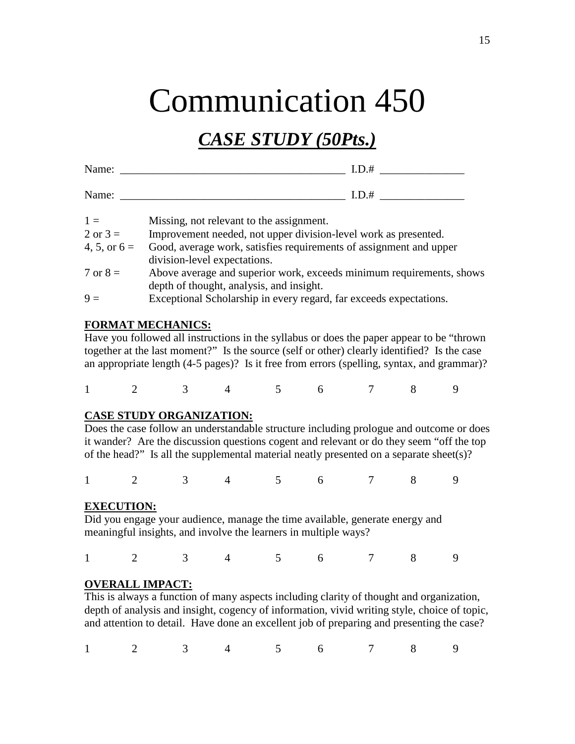## Communication 450

### *CASE STUDY (50Pts.)*

| Name: |  |
|-------|--|
|       |  |

 $I.D.$ #

| N.<br>------ | --<br>the contract of the contract of the |  |
|--------------|-------------------------------------------|--|
|              |                                           |  |

| $1 \equiv$          | Missing, not relevant to the assignment.                             |
|---------------------|----------------------------------------------------------------------|
| $2 \text{ or } 3 =$ | Improvement needed, not upper division-level work as presented.      |
| 4, 5, or $6 =$      | Good, average work, satisfies requirements of assignment and upper   |
|                     | division-level expectations.                                         |
| $7 \text{ or } 8 =$ | Above average and superior work, exceeds minimum requirements, shows |
|                     | depth of thought, analysis, and insight.                             |
| $9 =$               | Exceptional Scholarship in every regard, far exceeds expectations.   |

#### **FORMAT MECHANICS:**

Have you followed all instructions in the syllabus or does the paper appear to be "thrown together at the last moment?" Is the source (self or other) clearly identified? Is the case an appropriate length (4-5 pages)? Is it free from errors (spelling, syntax, and grammar)?

1 2 3 4 5 6 7 8 9

#### **CASE STUDY ORGANIZATION:**

Does the case follow an understandable structure including prologue and outcome or does it wander? Are the discussion questions cogent and relevant or do they seem "off the top of the head?" Is all the supplemental material neatly presented on a separate sheet(s)?

1 2 3 4 5 6 7 8 9

#### **EXECUTION:**

Did you engage your audience, manage the time available, generate energy and meaningful insights, and involve the learners in multiple ways?

1 2 3 4 5 6 7 8 9

#### **OVERALL IMPACT:**

This is always a function of many aspects including clarity of thought and organization, depth of analysis and insight, cogency of information, vivid writing style, choice of topic, and attention to detail. Have done an excellent job of preparing and presenting the case?

1 2 3 4 5 6 7 8 9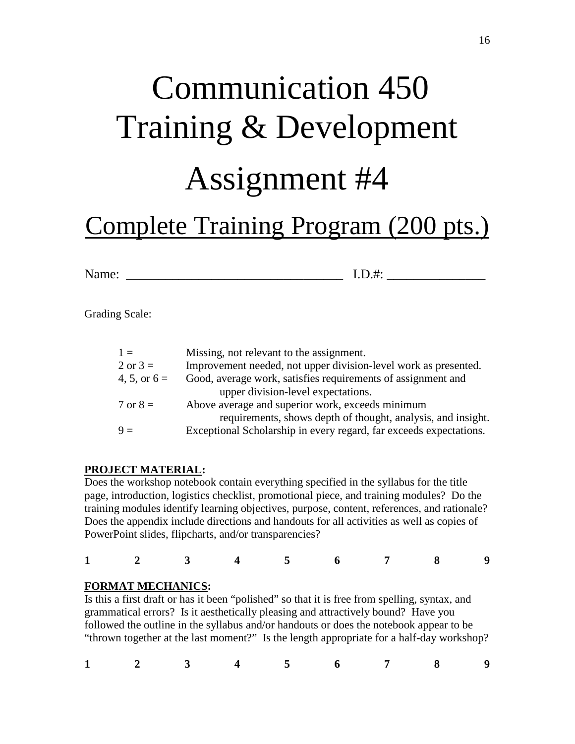# Communication 450 Training & Development Assignment #4

## Complete Training Program (200 pts.)

Name: \_\_\_\_\_\_\_\_\_\_\_\_\_\_\_\_\_\_\_\_\_\_\_\_\_\_\_\_\_\_\_\_\_ I.D.#: \_\_\_\_\_\_\_\_\_\_\_\_\_\_\_

Grading Scale:

| $1 =$               | Missing, not relevant to the assignment.                           |
|---------------------|--------------------------------------------------------------------|
| $2 \text{ or } 3 =$ | Improvement needed, not upper division-level work as presented.    |
| 4, 5, or $6 =$      | Good, average work, satisfies requirements of assignment and       |
|                     | upper division-level expectations.                                 |
| $7 \text{ or } 8 =$ | Above average and superior work, exceeds minimum                   |
|                     | requirements, shows depth of thought, analysis, and insight.       |
| $9 =$               | Exceptional Scholarship in every regard, far exceeds expectations. |

#### **PROJECT MATERIAL:**

Does the workshop notebook contain everything specified in the syllabus for the title page, introduction, logistics checklist, promotional piece, and training modules? Do the training modules identify learning objectives, purpose, content, references, and rationale? Does the appendix include directions and handouts for all activities as well as copies of PowerPoint slides, flipcharts, and/or transparencies?

| $1 \qquad 2 \qquad 3 \qquad 4 \qquad 5 \qquad 6 \qquad 7 \qquad 8 \qquad 9$ |  |  |  |  |  |  |  |  |  |
|-----------------------------------------------------------------------------|--|--|--|--|--|--|--|--|--|
|-----------------------------------------------------------------------------|--|--|--|--|--|--|--|--|--|

#### **FORMAT MECHANICS:**

Is this a first draft or has it been "polished" so that it is free from spelling, syntax, and grammatical errors? Is it aesthetically pleasing and attractively bound? Have you followed the outline in the syllabus and/or handouts or does the notebook appear to be "thrown together at the last moment?" Is the length appropriate for a half-day workshop?

|  |  |  | $1 \qquad 2 \qquad 3 \qquad 4 \qquad 5 \qquad 6 \qquad 7 \qquad 8 \qquad 9$ |  |
|--|--|--|-----------------------------------------------------------------------------|--|
|  |  |  |                                                                             |  |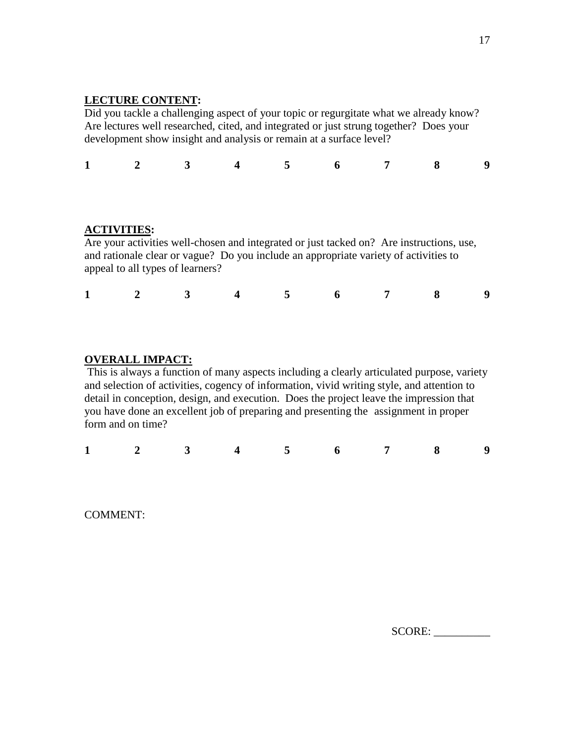#### **LECTURE CONTENT:**

Did you tackle a challenging aspect of your topic or regurgitate what we already know? Are lectures well researched, cited, and integrated or just strung together? Does your development show insight and analysis or remain at a surface level?

|  |  |  | $1 \qquad 2 \qquad 3 \qquad 4 \qquad 5 \qquad 6 \qquad 7 \qquad 8 \qquad 9$ |  |
|--|--|--|-----------------------------------------------------------------------------|--|
|  |  |  |                                                                             |  |

#### **ACTIVITIES:**

Are your activities well-chosen and integrated or just tacked on? Are instructions, use, and rationale clear or vague? Do you include an appropriate variety of activities to appeal to all types of learners?

|  |  |  | $1 \qquad 2 \qquad 3 \qquad 4 \qquad 5 \qquad 6 \qquad 7 \qquad 8 \qquad 9$ |  |
|--|--|--|-----------------------------------------------------------------------------|--|
|  |  |  |                                                                             |  |

#### **OVERALL IMPACT:**

This is always a function of many aspects including a clearly articulated purpose, variety and selection of activities, cogency of information, vivid writing style, and attention to detail in conception, design, and execution. Does the project leave the impression that you have done an excellent job of preparing and presenting the assignment in proper form and on time?

|  |  |  | $1 \qquad 2 \qquad 3 \qquad 4 \qquad 5 \qquad 6 \qquad 7 \qquad 8 \qquad 9$ |  |
|--|--|--|-----------------------------------------------------------------------------|--|
|  |  |  |                                                                             |  |

COMMENT:

SCORE: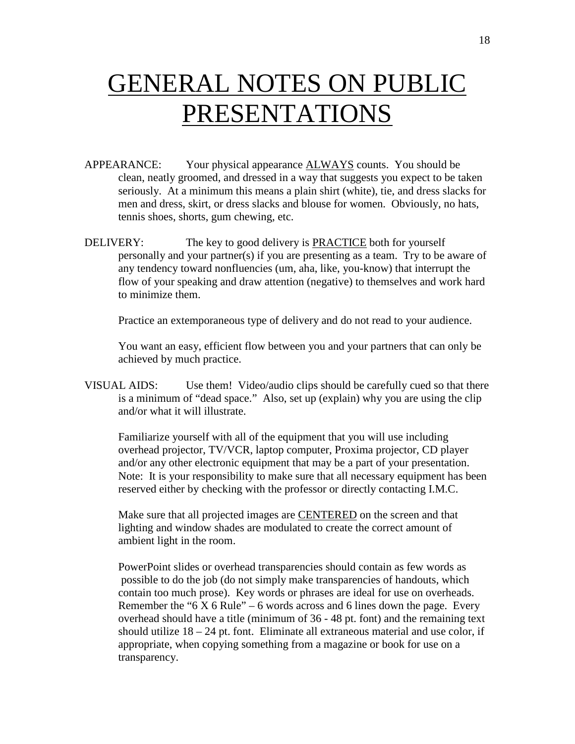## GENERAL NOTES ON PUBLIC PRESENTATIONS

- APPEARANCE: Your physical appearance ALWAYS counts. You should be clean, neatly groomed, and dressed in a way that suggests you expect to be taken seriously. At a minimum this means a plain shirt (white), tie, and dress slacks for men and dress, skirt, or dress slacks and blouse for women. Obviously, no hats, tennis shoes, shorts, gum chewing, etc.
- DELIVERY: The key to good delivery is **PRACTICE** both for yourself personally and your partner(s) if you are presenting as a team. Try to be aware of any tendency toward nonfluencies (um, aha, like, you-know) that interrupt the flow of your speaking and draw attention (negative) to themselves and work hard to minimize them.

Practice an extemporaneous type of delivery and do not read to your audience.

You want an easy, efficient flow between you and your partners that can only be achieved by much practice.

VISUAL AIDS: Use them! Video/audio clips should be carefully cued so that there is a minimum of "dead space." Also, set up (explain) why you are using the clip and/or what it will illustrate.

Familiarize yourself with all of the equipment that you will use including overhead projector, TV/VCR, laptop computer, Proxima projector, CD player and/or any other electronic equipment that may be a part of your presentation. Note: It is your responsibility to make sure that all necessary equipment has been reserved either by checking with the professor or directly contacting I.M.C.

Make sure that all projected images are CENTERED on the screen and that lighting and window shades are modulated to create the correct amount of ambient light in the room.

PowerPoint slides or overhead transparencies should contain as few words as possible to do the job (do not simply make transparencies of handouts, which contain too much prose). Key words or phrases are ideal for use on overheads. Remember the "6 X 6 Rule" – 6 words across and 6 lines down the page. Every overhead should have a title (minimum of 36 - 48 pt. font) and the remaining text should utilize  $18 - 24$  pt. font. Eliminate all extraneous material and use color, if appropriate, when copying something from a magazine or book for use on a transparency.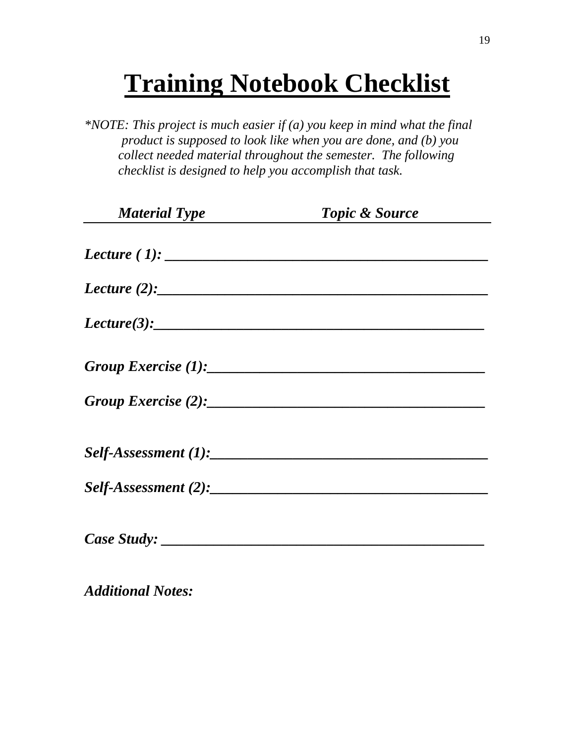## **Training Notebook Checklist**

*\*NOTE: This project is much easier if (a) you keep in mind what the final product is supposed to look like when you are done, and (b) you collect needed material throughout the semester. The following checklist is designed to help you accomplish that task.*

| <b>Material Type</b> | <b>Topic &amp; Source</b> |  |
|----------------------|---------------------------|--|
|                      |                           |  |
| <i>Lecture</i> (2):  |                           |  |
|                      | Lecture(3):               |  |
|                      |                           |  |
|                      | $Group\ Exercise (2):$    |  |
|                      |                           |  |
|                      |                           |  |
|                      |                           |  |

*Additional Notes:*